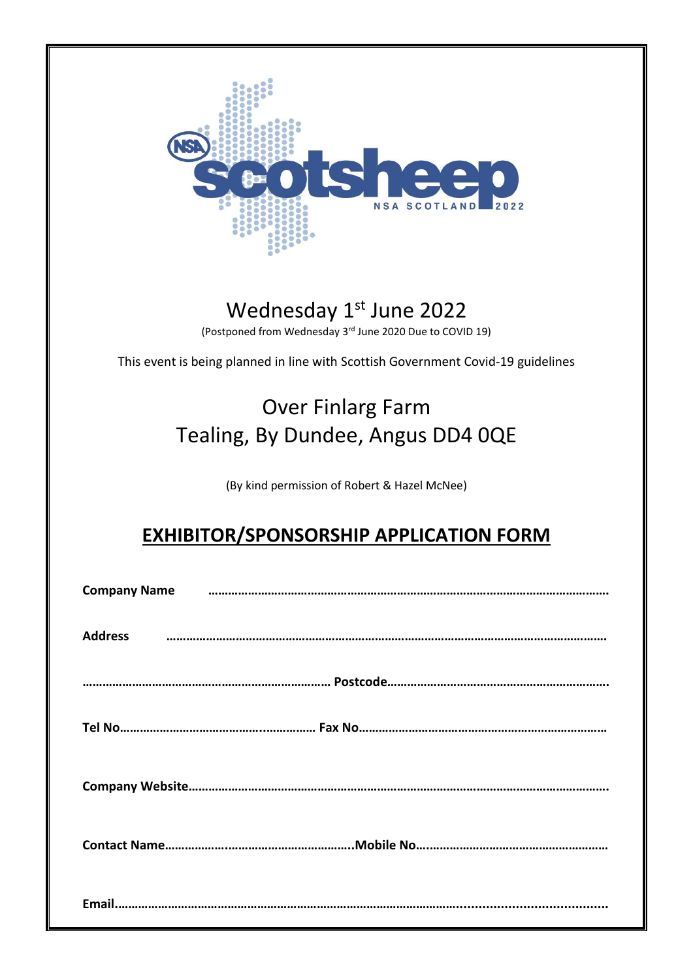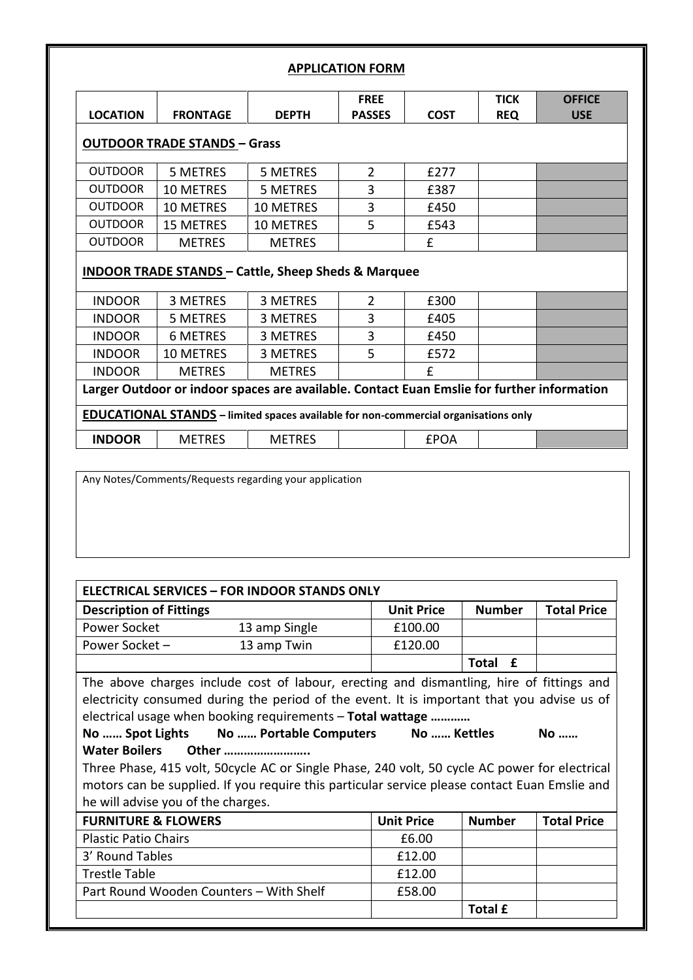|                 |                                                                                                             |                 | <b>FREE</b>    |             | <b>TICK</b> | <b>OFFICE</b> |
|-----------------|-------------------------------------------------------------------------------------------------------------|-----------------|----------------|-------------|-------------|---------------|
| <b>LOCATION</b> | <b>FRONTAGE</b>                                                                                             | <b>DEPTH</b>    | <b>PASSES</b>  | <b>COST</b> | <b>REQ</b>  | <b>USE</b>    |
|                 | <b>OUTDOOR TRADE STANDS - Grass</b>                                                                         |                 |                |             |             |               |
| <b>OUTDOOR</b>  | 5 METRES                                                                                                    | 5 METRES        | $\overline{2}$ | £277        |             |               |
| <b>OUTDOOR</b>  | <b>10 METRES</b>                                                                                            | 5 METRES        | 3              | £387        |             |               |
| <b>OUTDOOR</b>  | <b>10 METRES</b>                                                                                            | 10 METRES       | 3              | £450        |             |               |
| <b>OUTDOOR</b>  | <b>15 METRES</b>                                                                                            | 10 METRES       | 5              | £543        |             |               |
| <b>OUTDOOR</b>  | <b>METRES</b>                                                                                               | <b>METRES</b>   |                | f           |             |               |
|                 | <b>INDOOR TRADE STANDS - Cattle, Sheep Sheds &amp; Marquee</b>                                              |                 |                |             |             |               |
| <b>INDOOR</b>   | 3 METRES                                                                                                    | 3 METRES        | $\overline{2}$ | £300        |             |               |
| <b>INDOOR</b>   | 5 METRES                                                                                                    | <b>3 METRES</b> | 3              | £405        |             |               |
| <b>INDOOR</b>   | 6 METRES                                                                                                    | 3 METRES        | 3              | £450        |             |               |
|                 | <b>10 METRES</b>                                                                                            | 3 METRES        | 5              | £572        |             |               |
| <b>INDOOR</b>   |                                                                                                             | <b>METRES</b>   |                | f           |             |               |
| <b>INDOOR</b>   | <b>METRES</b><br>Larger Outdoor or indoor spaces are available. Contact Euan Emslie for further information |                 |                |             |             |               |

Any Notes/Comments/Requests regarding your application

| <b>ELECTRICAL SERVICES - FOR INDOOR STANDS ONLY</b>                                                                                                                                                                                                  |               |                   |                |                    |
|------------------------------------------------------------------------------------------------------------------------------------------------------------------------------------------------------------------------------------------------------|---------------|-------------------|----------------|--------------------|
| <b>Description of Fittings</b>                                                                                                                                                                                                                       |               | <b>Unit Price</b> | <b>Number</b>  | <b>Total Price</b> |
| Power Socket                                                                                                                                                                                                                                         | 13 amp Single | £100.00           |                |                    |
| Power Socket -                                                                                                                                                                                                                                       | 13 amp Twin   | £120.00           |                |                    |
|                                                                                                                                                                                                                                                      |               |                   | Total £        |                    |
| The above charges include cost of labour, erecting and dismantling, hire of fittings and<br>electricity consumed during the period of the event. It is important that you advise us of<br>electrical usage when booking requirements - Total wattage |               |                   |                |                    |
| No  Spot Lights No  Portable Computers No  Kettles                                                                                                                                                                                                   |               |                   |                | No                 |
| Water Boilers Other                                                                                                                                                                                                                                  |               |                   |                |                    |
| Three Phase, 415 volt, 50cycle AC or Single Phase, 240 volt, 50 cycle AC power for electrical                                                                                                                                                        |               |                   |                |                    |
| motors can be supplied. If you require this particular service please contact Euan Emslie and                                                                                                                                                        |               |                   |                |                    |
| he will advise you of the charges.                                                                                                                                                                                                                   |               |                   |                |                    |
| <b>FURNITURE &amp; FLOWERS</b>                                                                                                                                                                                                                       |               | <b>Unit Price</b> | <b>Number</b>  | <b>Total Price</b> |
| <b>Plastic Patio Chairs</b>                                                                                                                                                                                                                          |               | £6.00             |                |                    |
| 3' Round Tables                                                                                                                                                                                                                                      |               | £12.00            |                |                    |
| <b>Trestle Table</b>                                                                                                                                                                                                                                 |               | £12.00            |                |                    |
| Part Round Wooden Counters - With Shelf                                                                                                                                                                                                              |               | £58.00            |                |                    |
|                                                                                                                                                                                                                                                      |               |                   | <b>Total £</b> |                    |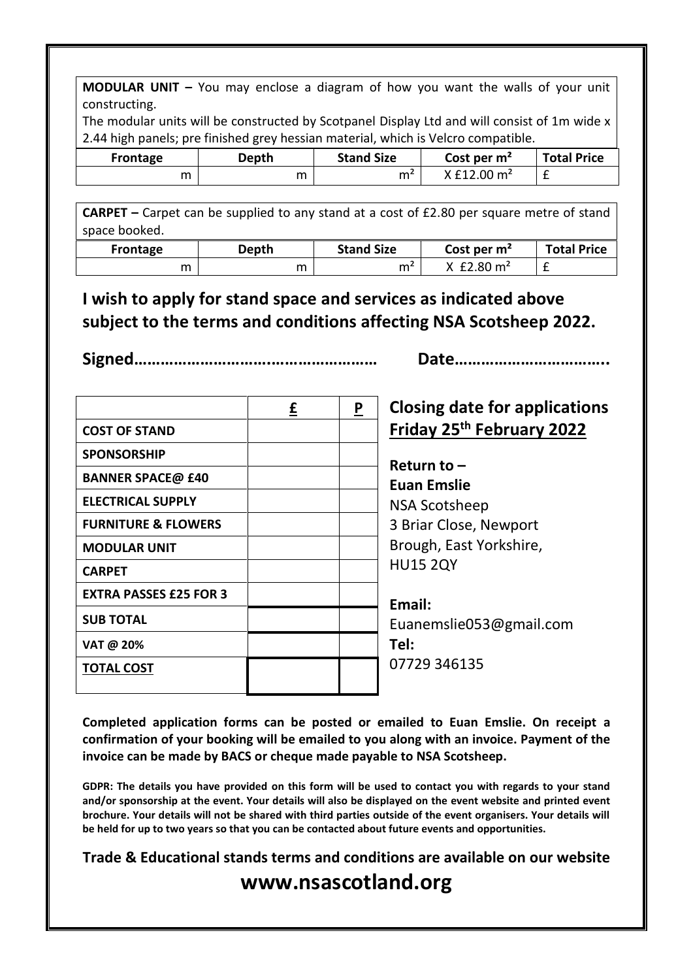**MODULAR UNIT –** You may enclose a diagram of how you want the walls of your unit constructing.

The modular units will be constructed by Scotpanel Display Ltd and will consist of 1m wide x 2.44 high panels; pre finished grey hessian material, which is Velcro compatible.

| Frontage | Depth | <b>Stand Size</b> | Cost per $m2$             | <b>Total Price</b> |
|----------|-------|-------------------|---------------------------|--------------------|
| m        | m     | m٬                | $X$ £12.00 m <sup>2</sup> | -                  |

**CARPET –** Carpet can be supplied to any stand at a cost of £2.80 per square metre of stand space booked.

| Frontage | Depth | <b>Stand Size</b> | Cost per $m2$ | <b>Total Price</b> |
|----------|-------|-------------------|---------------|--------------------|
| m        | m     | m٤                | £2.80 $m2$    | -                  |

**I wish to apply for stand space and services as indicated above subject to the terms and conditions affecting NSA Scotsheep 2022.**

**Signed………………………….…………………… Date……………………………..**

|                                | £ | P | <b>Closing date for applications</b>  |
|--------------------------------|---|---|---------------------------------------|
| <b>COST OF STAND</b>           |   |   | Friday 25 <sup>th</sup> February 2022 |
| <b>SPONSORSHIP</b>             |   |   | Return to $-$                         |
| <b>BANNER SPACE@ £40</b>       |   |   | <b>Euan Emslie</b>                    |
| <b>ELECTRICAL SUPPLY</b>       |   |   | <b>NSA Scotsheep</b>                  |
| <b>FURNITURE &amp; FLOWERS</b> |   |   | 3 Briar Close, Newport                |
| <b>MODULAR UNIT</b>            |   |   | Brough, East Yorkshire,               |
| <b>CARPET</b>                  |   |   | <b>HU15 2QY</b>                       |
| <b>EXTRA PASSES £25 FOR 3</b>  |   |   | Email:                                |
| <b>SUB TOTAL</b>               |   |   | Euanemslie053@gmail.com               |
| VAT @ 20%                      |   |   | Tel:                                  |
| <b>TOTAL COST</b>              |   |   | 07729 346135                          |
|                                |   |   |                                       |

**Completed application forms can be posted or emailed to Euan Emslie. On receipt a confirmation of your booking will be emailed to you along with an invoice. Payment of the invoice can be made by BACS or cheque made payable to NSA Scotsheep.**

**GDPR: The details you have provided on this form will be used to contact you with regards to your stand and/or sponsorship at the event. Your details will also be displayed on the event website and printed event brochure. Your details will not be shared with third parties outside of the event organisers. Your details will be held for up to two years so that you can be contacted about future events and opportunities.**

**Trade & Educational stands terms and conditions are available on our website [www.nsascotland.org](http://www.nsascotland.org/)**